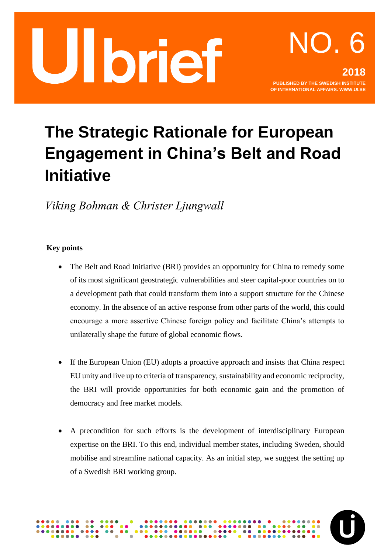

## **The Strategic Rationale for European Engagement in China's Belt and Road Initiative**

*Viking Bohman & Christer Ljungwall*

#### **Key points**

- The Belt and Road Initiative (BRI) provides an opportunity for China to remedy some of its most significant geostrategic vulnerabilities and steer capital-poor countries on to a development path that could transform them into a support structure for the Chinese economy. In the absence of an active response from other parts of the world, this could encourage a more assertive Chinese foreign policy and facilitate China's attempts to unilaterally shape the future of global economic flows.
- If the European Union (EU) adopts a proactive approach and insists that China respect EU unity and live up to criteria of transparency, sustainability and economic reciprocity, the BRI will provide opportunities for both economic gain and the promotion of democracy and free market models.
- A precondition for such efforts is the development of interdisciplinary European expertise on the BRI. To this end, individual member states, including Sweden, should mobilise and streamline national capacity. As an initial step, we suggest the setting up of a Swedish BRI working group.

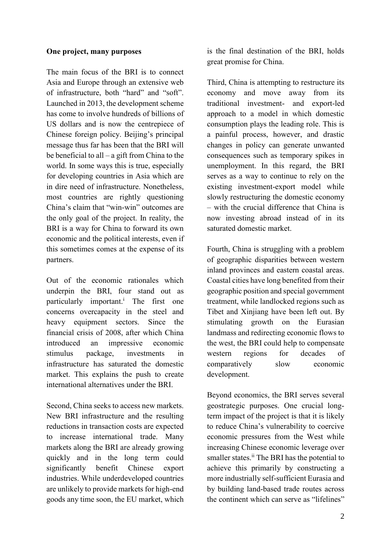#### **One project, many purposes**

The main focus of the BRI is to connect Asia and Europe through an extensive web of infrastructure, both "hard" and "soft". Launched in 2013, the development scheme has come to involve hundreds of billions of US dollars and is now the centrepiece of Chinese foreign policy. Beijing's principal message thus far has been that the BRI will be beneficial to all – a gift from China to the world. In some ways this is true, especially for developing countries in Asia which are in dire need of infrastructure. Nonetheless, most countries are rightly questioning China's claim that "win-win" outcomes are the only goal of the project. In reality, the BRI is a way for China to forward its own economic and the political interests, even if this sometimes comes at the expense of its partners.

Out of the economic rationales which underpin the BRI, four stand out as particularly important.<sup>i</sup> The first one concerns overcapacity in the steel and heavy equipment sectors. Since the financial crisis of 2008, after which China introduced an impressive economic stimulus package, investments in infrastructure has saturated the domestic market. This explains the push to create international alternatives under the BRI.

Second, China seeks to access new markets. New BRI infrastructure and the resulting reductions in transaction costs are expected to increase international trade. Many markets along the BRI are already growing quickly and in the long term could significantly benefit Chinese export industries. While underdeveloped countries are unlikely to provide markets for high-end goods any time soon, the EU market, which is the final destination of the BRI, holds great promise for China.

Third, China is attempting to restructure its economy and move away from its traditional investment- and export-led approach to a model in which domestic consumption plays the leading role. This is a painful process, however, and drastic changes in policy can generate unwanted consequences such as temporary spikes in unemployment. In this regard, the BRI serves as a way to continue to rely on the existing investment-export model while slowly restructuring the domestic economy – with the crucial difference that China is now investing abroad instead of in its saturated domestic market.

Fourth, China is struggling with a problem of geographic disparities between western inland provinces and eastern coastal areas. Coastal cities have long benefited from their geographic position and special government treatment, while landlocked regions such as Tibet and Xinjiang have been left out. By stimulating growth on the Eurasian landmass and redirecting economic flows to the west, the BRI could help to compensate western regions for decades of comparatively slow economic development.

Beyond economics, the BRI serves several geostrategic purposes. One crucial longterm impact of the project is that it is likely to reduce China's vulnerability to coercive economic pressures from the West while increasing Chinese economic leverage over smaller states.<sup>ii</sup> The BRI has the potential to achieve this primarily by constructing a more industrially self-sufficient Eurasia and by building land-based trade routes across the continent which can serve as "lifelines"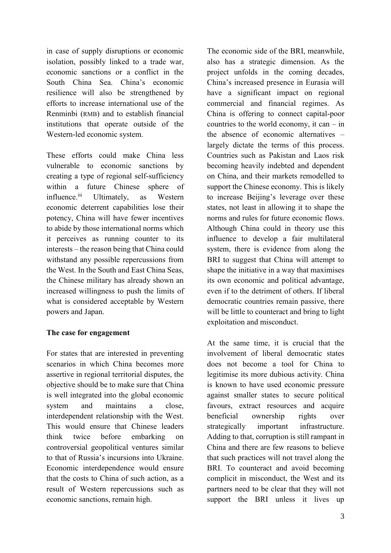in case of supply disruptions or economic isolation, possibly linked to a trade war, economic sanctions or a conflict in the South China Sea. China's economic resilience will also be strengthened by efforts to increase international use of the Renminbi (RMB) and to establish financial institutions that operate outside of the Western-led economic system.

These efforts could make China less vulnerable to economic sanctions by creating a type of regional self-sufficiency within a future Chinese sphere of influence.<sup>iii</sup> Ultimately, as Western economic deterrent capabilities lose their potency, China will have fewer incentives to abide by those international norms which it perceives as running counter to its interests – the reason being that China could withstand any possible repercussions from the West. In the South and East China Seas, the Chinese military has already shown an increased willingness to push the limits of what is considered acceptable by Western powers and Japan.

#### **The case for engagement**

For states that are interested in preventing scenarios in which China becomes more assertive in regional territorial disputes, the objective should be to make sure that China is well integrated into the global economic system and maintains a close, interdependent relationship with the West. This would ensure that Chinese leaders think twice before embarking controversial geopolitical ventures similar to that of Russia's incursions into Ukraine. Economic interdependence would ensure that the costs to China of such action, as a result of Western repercussions such as economic sanctions, remain high.

The economic side of the BRI, meanwhile, also has a strategic dimension. As the project unfolds in the coming decades, China's increased presence in Eurasia will have a significant impact on regional commercial and financial regimes. As China is offering to connect capital-poor countries to the world economy, it can  $-$  in the absence of economic alternatives – largely dictate the terms of this process. Countries such as Pakistan and Laos risk becoming heavily indebted and dependent on China, and their markets remodelled to support the Chinese economy. This is likely to increase Beijing's leverage over these states, not least in allowing it to shape the norms and rules for future economic flows. Although China could in theory use this influence to develop a fair multilateral system, there is evidence from along the BRI to suggest that China will attempt to shape the initiative in a way that maximises its own economic and political advantage, even if to the detriment of others. If liberal democratic countries remain passive, there will be little to counteract and bring to light exploitation and misconduct.

At the same time, it is crucial that the involvement of liberal democratic states does not become a tool for China to legitimise its more dubious activity. China is known to have used economic pressure against smaller states to secure political favours, extract resources and acquire beneficial ownership rights over strategically important infrastructure. Adding to that, corruption is still rampant in China and there are few reasons to believe that such practices will not travel along the BRI. To counteract and avoid becoming complicit in misconduct, the West and its partners need to be clear that they will not support the BRI unless it lives up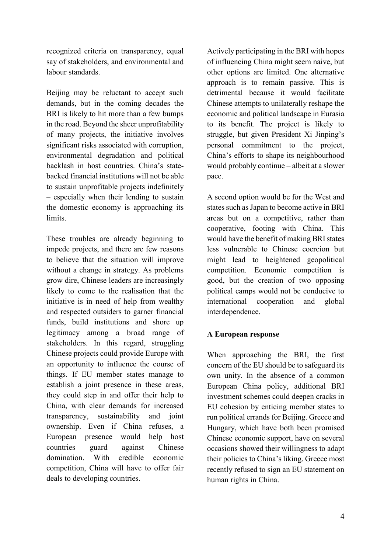recognized criteria on transparency, equal say of stakeholders, and environmental and labour standards.

Beijing may be reluctant to accept such demands, but in the coming decades the BRI is likely to hit more than a few bumps in the road. Beyond the sheer unprofitability of many projects, the initiative involves significant risks associated with corruption, environmental degradation and political backlash in host countries. China's statebacked financial institutions will not be able to sustain unprofitable projects indefinitely – especially when their lending to sustain the domestic economy is approaching its limits.

These troubles are already beginning to impede projects, and there are few reasons to believe that the situation will improve without a change in strategy. As problems grow dire, Chinese leaders are increasingly likely to come to the realisation that the initiative is in need of help from wealthy and respected outsiders to garner financial funds, build institutions and shore up legitimacy among a broad range of stakeholders. In this regard, struggling Chinese projects could provide Europe with an opportunity to influence the course of things. If EU member states manage to establish a joint presence in these areas, they could step in and offer their help to China, with clear demands for increased transparency, sustainability and joint ownership. Even if China refuses, a European presence would help host countries guard against Chinese domination. With credible economic competition, China will have to offer fair deals to developing countries.

Actively participating in the BRI with hopes of influencing China might seem naive, but other options are limited. One alternative approach is to remain passive. This is detrimental because it would facilitate Chinese attempts to unilaterally reshape the economic and political landscape in Eurasia to its benefit. The project is likely to struggle, but given President Xi Jinping's personal commitment to the project, China's efforts to shape its neighbourhood would probably continue – albeit at a slower pace.

A second option would be for the West and states such as Japan to become active in BRI areas but on a competitive, rather than cooperative, footing with China. This would have the benefit of making BRI states less vulnerable to Chinese coercion but might lead to heightened geopolitical competition. Economic competition is good, but the creation of two opposing political camps would not be conducive to international cooperation and global interdependence.

#### **A European response**

When approaching the BRI, the first concern of the EU should be to safeguard its own unity. In the absence of a common European China policy, additional BRI investment schemes could deepen cracks in EU cohesion by enticing member states to run political errands for Beijing. Greece and Hungary, which have both been promised Chinese economic support, have on several occasions showed their willingness to adapt their policies to China's liking. Greece most recently refused to sign an EU statement on human rights in China.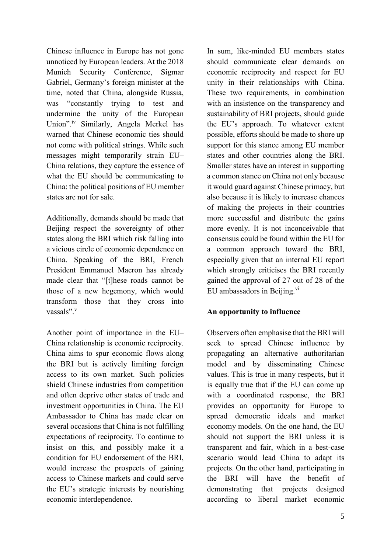Chinese influence in Europe has not gone unnoticed by European leaders. At the 2018 Munich Security Conference, Sigmar Gabriel, Germany's foreign minister at the time, noted that China, alongside Russia, was "constantly trying to test and undermine the unity of the European Union".<sup>iv</sup> Similarly, Angela Merkel has warned that Chinese economic ties should not come with political strings. While such messages might temporarily strain EU– China relations, they capture the essence of what the EU should be communicating to China: the political positions of EU member states are not for sale.

Additionally, demands should be made that Beijing respect the sovereignty of other states along the BRI which risk falling into a vicious circle of economic dependence on China. Speaking of the BRI, French President Emmanuel Macron has already made clear that "[t]hese roads cannot be those of a new hegemony, which would transform those that they cross into vassals".<sup>v</sup>

Another point of importance in the EU– China relationship is economic reciprocity. China aims to spur economic flows along the BRI but is actively limiting foreign access to its own market. Such policies shield Chinese industries from competition and often deprive other states of trade and investment opportunities in China. The EU Ambassador to China has made clear on several occasions that China is not fulfilling expectations of reciprocity. To continue to insist on this, and possibly make it a condition for EU endorsement of the BRI, would increase the prospects of gaining access to Chinese markets and could serve the EU's strategic interests by nourishing economic interdependence.

In sum, like-minded EU members states should communicate clear demands on economic reciprocity and respect for EU unity in their relationships with China. These two requirements, in combination with an insistence on the transparency and sustainability of BRI projects, should guide the EU's approach. To whatever extent possible, efforts should be made to shore up support for this stance among EU member states and other countries along the BRI. Smaller states have an interest in supporting a common stance on China not only because it would guard against Chinese primacy, but also because it is likely to increase chances of making the projects in their countries more successful and distribute the gains more evenly. It is not inconceivable that consensus could be found within the EU for a common approach toward the BRI, especially given that an internal EU report which strongly criticises the BRI recently gained the approval of 27 out of 28 of the EU ambassadors in Beijing. $\mathrm{v}$ <sup>vi</sup>

#### **An opportunity to influence**

Observers often emphasise that the BRI will seek to spread Chinese influence by propagating an alternative authoritarian model and by disseminating Chinese values. This is true in many respects, but it is equally true that if the EU can come up with a coordinated response, the BRI provides an opportunity for Europe to spread democratic ideals and market economy models. On the one hand, the EU should not support the BRI unless it is transparent and fair, which in a best-case scenario would lead China to adapt its projects. On the other hand, participating in the BRI will have the benefit of demonstrating that projects designed according to liberal market economic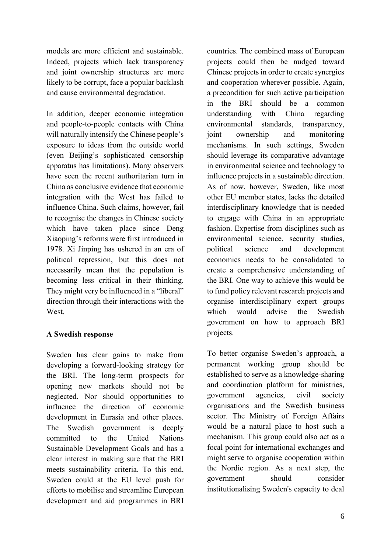models are more efficient and sustainable. Indeed, projects which lack transparency and joint ownership structures are more likely to be corrupt, face a popular backlash and cause environmental degradation.

In addition, deeper economic integration and people-to-people contacts with China will naturally intensify the Chinese people's exposure to ideas from the outside world (even Beijing's sophisticated censorship apparatus has limitations). Many observers have seen the recent authoritarian turn in China as conclusive evidence that economic integration with the West has failed to influence China. Such claims, however, fail to recognise the changes in Chinese society which have taken place since Deng Xiaoping's reforms were first introduced in 1978. Xi Jinping has ushered in an era of political repression, but this does not necessarily mean that the population is becoming less critical in their thinking. They might very be influenced in a "liberal" direction through their interactions with the West.

#### **A Swedish response**

Sweden has clear gains to make from developing a forward-looking strategy for the BRI. The long-term prospects for opening new markets should not be neglected. Nor should opportunities to influence the direction of economic development in Eurasia and other places. The Swedish government is deeply committed to the United Nations Sustainable Development Goals and has a clear interest in making sure that the BRI meets sustainability criteria. To this end, Sweden could at the EU level push for efforts to mobilise and streamline European development and aid programmes in BRI

countries. The combined mass of European projects could then be nudged toward Chinese projects in order to create synergies and cooperation wherever possible. Again, a precondition for such active participation in the BRI should be a common understanding with China regarding environmental standards, transparency, joint ownership and monitoring mechanisms. In such settings, Sweden should leverage its comparative advantage in environmental science and technology to influence projects in a sustainable direction. As of now, however, Sweden, like most other EU member states, lacks the detailed interdisciplinary knowledge that is needed to engage with China in an appropriate fashion. Expertise from disciplines such as environmental science, security studies, political science and development economics needs to be consolidated to create a comprehensive understanding of the BRI. One way to achieve this would be to fund policy relevant research projects and organise interdisciplinary expert groups which would advise the Swedish government on how to approach BRI projects.

To better organise Sweden's approach, a permanent working group should be established to serve as a knowledge-sharing and coordination platform for ministries, government agencies, civil society organisations and the Swedish business sector. The Ministry of Foreign Affairs would be a natural place to host such a mechanism. This group could also act as a focal point for international exchanges and might serve to organise cooperation within the Nordic region. As a next step, the government should consider institutionalising Sweden's capacity to deal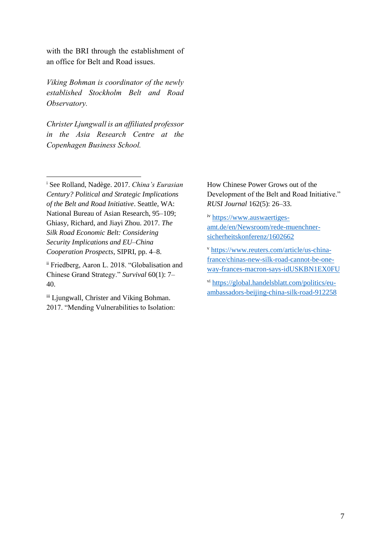with the BRI through the establishment of an office for Belt and Road issues.

*Viking Bohman is coordinator of the newly established Stockholm Belt and Road Observatory.*

*Christer Ljungwall is an affiliated professor in the Asia Research Centre at the Copenhagen Business School.*

<sup>i</sup> See Rolland, Nadège. 2017. *China's Eurasian Century? Political and Strategic Implications of the Belt and Road Initiative*. Seattle, WA: National Bureau of Asian Research, 95–109; Ghiasy, Richard, and Jiayi Zhou. 2017. *The Silk Road Economic Belt: Considering Security Implications and EU–China Cooperation Prospects*, SIPRI, pp. 4–8.

1

ii Friedberg, Aaron L. 2018. "Globalisation and Chinese Grand Strategy." *Survival* 60(1): 7– 40.

iii Ljungwall, Christer and Viking Bohman. 2017. "Mending Vulnerabilities to Isolation:

How Chinese Power Grows out of the Development of the Belt and Road Initiative." *RUSI Journal* 162(5): 26–33.

iv [https://www.auswaertiges](https://www.auswaertiges-amt.de/en/Newsroom/rede-muenchner-sicherheitskonferenz/1602662)[amt.de/en/Newsroom/rede-muenchner](https://www.auswaertiges-amt.de/en/Newsroom/rede-muenchner-sicherheitskonferenz/1602662)[sicherheitskonferenz/1602662](https://www.auswaertiges-amt.de/en/Newsroom/rede-muenchner-sicherheitskonferenz/1602662)

<sup>v</sup> [https://www.reuters.com/article/us-china](https://www.reuters.com/article/us-china-france/chinas-new-silk-road-cannot-be-one-way-frances-macron-says-idUSKBN1EX0FU)[france/chinas-new-silk-road-cannot-be-one](https://www.reuters.com/article/us-china-france/chinas-new-silk-road-cannot-be-one-way-frances-macron-says-idUSKBN1EX0FU)[way-frances-macron-says-idUSKBN1EX0FU](https://www.reuters.com/article/us-china-france/chinas-new-silk-road-cannot-be-one-way-frances-macron-says-idUSKBN1EX0FU)

vi [https://global.handelsblatt.com/politics/eu](https://global.handelsblatt.com/politics/eu-ambassadors-beijing-china-silk-road-912258)[ambassadors-beijing-china-silk-road-912258](https://global.handelsblatt.com/politics/eu-ambassadors-beijing-china-silk-road-912258)